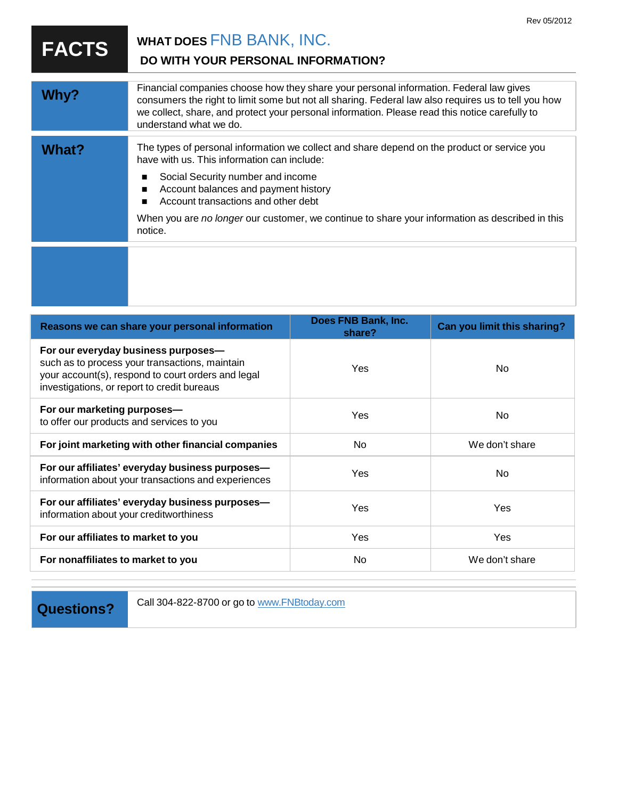|              | Rev 05/2012                                                                                                                                                                                                                                                                                                                                                                  |
|--------------|------------------------------------------------------------------------------------------------------------------------------------------------------------------------------------------------------------------------------------------------------------------------------------------------------------------------------------------------------------------------------|
| <b>FACTS</b> | WHAT DOES FNB BANK, INC.<br>DO WITH YOUR PERSONAL INFORMATION?                                                                                                                                                                                                                                                                                                               |
| Why?         | Financial companies choose how they share your personal information. Federal law gives<br>consumers the right to limit some but not all sharing. Federal law also requires us to tell you how<br>we collect, share, and protect your personal information. Please read this notice carefully to<br>understand what we do.                                                    |
| <b>What?</b> | The types of personal information we collect and share depend on the product or service you<br>have with us. This information can include:<br>Social Security number and income<br>Account balances and payment history<br>Account transactions and other debt<br>When you are no longer our customer, we continue to share your information as described in this<br>notice. |
|              |                                                                                                                                                                                                                                                                                                                                                                              |

| Reasons we can share your personal information                                                                                                                                             | Does FNB Bank, Inc.<br>share? | <b>Can you limit this sharing?</b> |
|--------------------------------------------------------------------------------------------------------------------------------------------------------------------------------------------|-------------------------------|------------------------------------|
| For our everyday business purposes-<br>such as to process your transactions, maintain<br>your account(s), respond to court orders and legal<br>investigations, or report to credit bureaus | <b>Yes</b>                    | No.                                |
| For our marketing purposes-<br>to offer our products and services to you                                                                                                                   | Yes                           | No                                 |
| For joint marketing with other financial companies                                                                                                                                         | No.                           | We don't share                     |
| For our affiliates' everyday business purposes-<br>information about your transactions and experiences                                                                                     | Yes                           | No.                                |
| For our affiliates' everyday business purposes-<br>information about your creditworthiness                                                                                                 | Yes                           | Yes                                |
| For our affiliates to market to you                                                                                                                                                        | <b>Yes</b>                    | <b>Yes</b>                         |
| For nonaffiliates to market to you                                                                                                                                                         | No                            | We don't share                     |
|                                                                                                                                                                                            |                               |                                    |

**Questions?** Call 304-822-8700 or go to [www.FNBtoday.com](http://www.fnbtoday.com/)